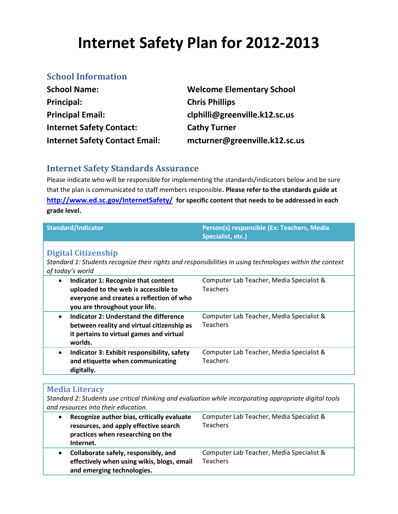# **Internet Safety Plan for 2012-2013**

## **School Information**

| <b>School Name:</b>                   | <b>Welcome Elementary School</b> |
|---------------------------------------|----------------------------------|
| Principal:                            | <b>Chris Phillips</b>            |
| <b>Principal Email:</b>               | clphilli@greenville.k12.sc.us    |
| <b>Internet Safety Contact:</b>       | <b>Cathy Turner</b>              |
| <b>Internet Safety Contact Email:</b> | mcturner@greenville.k12.sc.us    |

## **Internet Safety Standards Assurance**

Please indicate who will be responsible for implementing the standards/indicators below and be sure that the plan is communicated to staff members responsible**. Please refer to the standards guide at <http://www.ed.sc.gov/InternetSafety/> for specific content that needs to be addressed in each grade level.**

| <b>Standard/Indicator</b>                                                                                                                                             | Person(s) responsible (Ex: Teachers, Media<br>Specialist, etc.) |  |
|-----------------------------------------------------------------------------------------------------------------------------------------------------------------------|-----------------------------------------------------------------|--|
| <b>Digital Citizenship</b><br>Standard 1: Students recognize their rights and responsibilities in using technologies within the context<br>of today's world           |                                                                 |  |
| Indicator 1: Recognize that content<br>$\bullet$<br>uploaded to the web is accessible to<br>everyone and creates a reflection of who<br>you are throughout your life. | Computer Lab Teacher, Media Specialist &<br><b>Teachers</b>     |  |
| Indicator 2: Understand the difference<br>$\bullet$<br>between reality and virtual citizenship as<br>it pertains to virtual games and virtual<br>worlds.              | Computer Lab Teacher, Media Specialist &<br><b>Teachers</b>     |  |
| Indicator 3: Exhibit responsibility, safety<br>$\bullet$<br>and etiquette when communicating<br>digitally.                                                            | Computer Lab Teacher, Media Specialist &<br><b>Teachers</b>     |  |

#### **Media Literacy**

*Standard 2: Students use critical thinking and evaluation while incorporating appropriate digital tools and resources into their education.*

| Recognize author bias, critically evaluate<br>resources, and apply effective search<br>practices when researching on the<br>Internet. | Computer Lab Teacher, Media Specialist &<br><b>Teachers</b> |
|---------------------------------------------------------------------------------------------------------------------------------------|-------------------------------------------------------------|
| Collaborate safely, responsibly, and<br>effectively when using wikis, blogs, email<br>and emerging technologies.                      | Computer Lab Teacher, Media Specialist &<br><b>Teachers</b> |